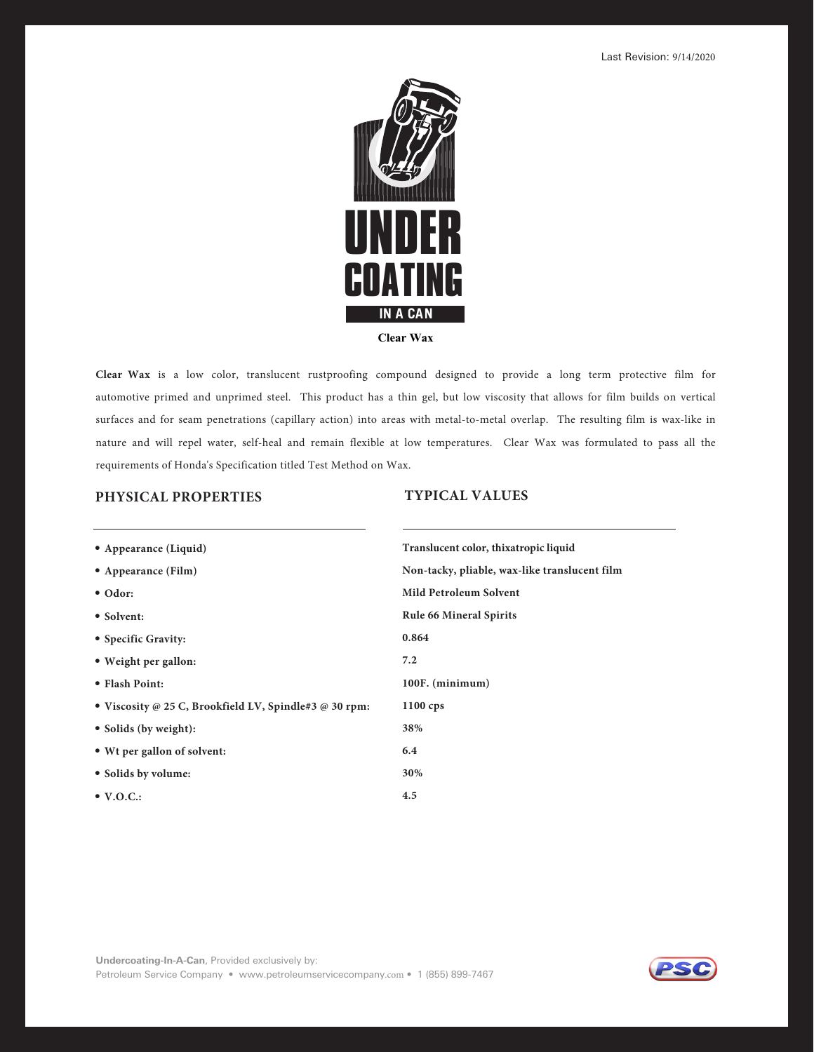Last Revision:



**Clear Wax** is a low color, translucent rustproofing compound designed to provide a long term protective film for automotive primed and unprimed steel. This product has a thin gel, but low viscosity that allows for film builds on vertical surfaces and for seam penetrations (capillary action) into areas with metal-to-metal overlap. The resulting film is wax-like in nature and will repel water, self-heal and remain flexible at low temperatures. Clear Wax was formulated to pass all the requirements of Honda's Specification titled Test Method on Wax.

## **5: 1 \*\$" -7"-6&4**

| • BSBOD-RV          | <b>SBOTMVDOUDPMPSUIBUSPDMRV</b> |
|---------------------|---------------------------------|
| • BSBOD M           | POUBDL MBCM BMLUSBOTMVDOUM      |
| $\cdot$ PS          | .MUSPMV4PMOU                    |
| $\cdot$ 4PMOU       | VM.OSBM4SUT                     |
| • 4DDSBU            |                                 |
| • HIUSHBMMPO        |                                 |
| • MBTIPOU           | <b>OV</b>                       |
| • TDPTU SPPLM-40M S | DT                              |
| • 4PMTC HIU         |                                 |
| • USHBMMPOPTPMOU    |                                 |
| • 4PMTCPMV          |                                 |

**• 70\$**

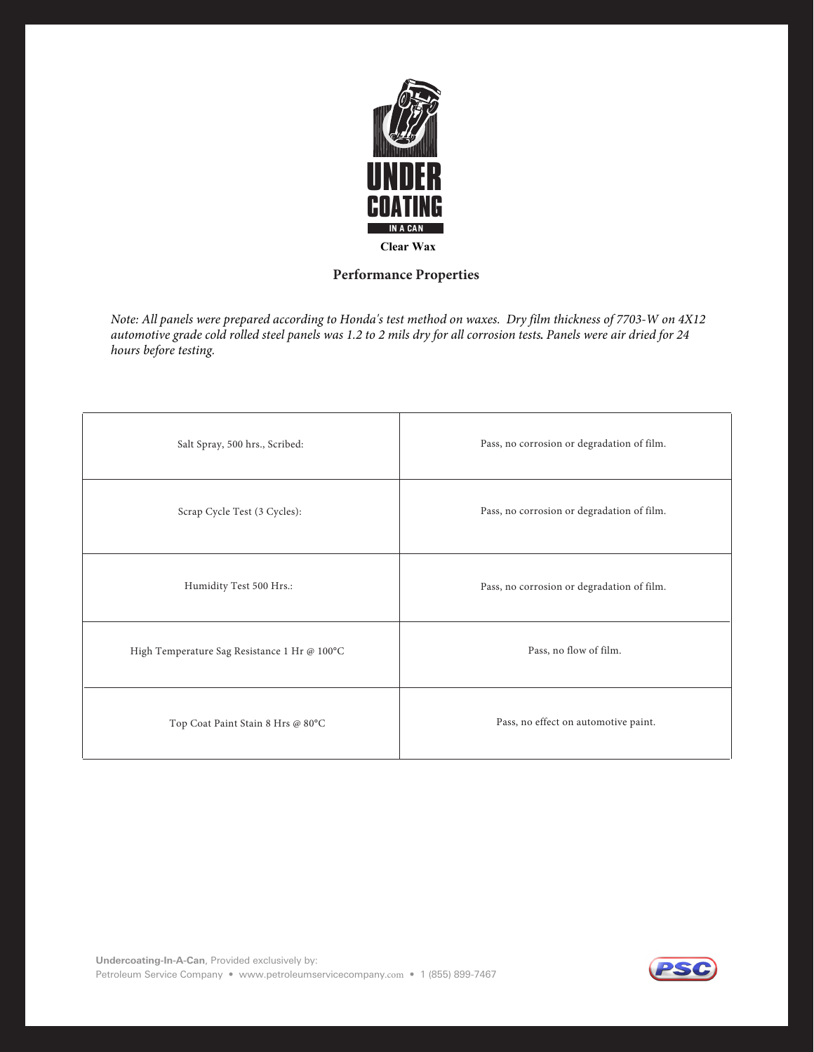

# **Performance Properties**

*Note: All panels were prepared according to Honda's test method on waxes. Dry film thickness of Clear Wax on 4X12 automotive grade cold rolled steel panels was 1.2 to 2 mils dry for all corrosion tests. Panels were air dried for 24 hours before testing.* 

| Salt Spray, 500 hrs., Scribed:               | Pass, no corrosion or degradation of film. |
|----------------------------------------------|--------------------------------------------|
| Scrap Cycle Test (3 Cycles):                 | Pass, no corrosion or degradation of film. |
| Humidity Test 500 Hrs.:                      | Pass, no corrosion or degradation of film. |
| High Temperature Sag Resistance 1 Hr @ 100°C | Pass, no flow of film.                     |
| Top Coat Paint Stain 8 Hrs @ 80°C            | Pass, no effect on automotive paint.       |